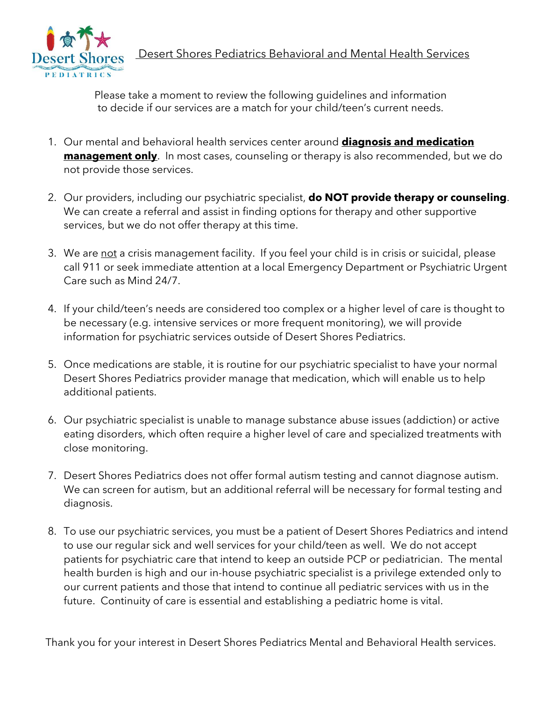

Desert Shores Pediatrics Behavioral and Mental Health Services

Please take a moment to review the following guidelines and information to decide if our services are a match for your child/teen's current needs.

- 1. Our mental and behavioral health services center around **diagnosis and medication management only**. In most cases, counseling or therapy is also recommended, but we do not provide those services.
- 2. Our providers, including our psychiatric specialist, **do NOT provide therapy or counseling**. We can create a referral and assist in finding options for therapy and other supportive services, but we do not offer therapy at this time.
- 3. We are not a crisis management facility. If you feel your child is in crisis or suicidal, please call 911 or seek immediate attention at a local Emergency Department or Psychiatric Urgent Care such as Mind 24/7.
- 4. If your child/teen's needs are considered too complex or a higher level of care is thought to be necessary (e.g. intensive services or more frequent monitoring), we will provide information for psychiatric services outside of Desert Shores Pediatrics.
- 5. Once medications are stable, it is routine for our psychiatric specialist to have your normal Desert Shores Pediatrics provider manage that medication, which will enable us to help additional patients.
- 6. Our psychiatric specialist is unable to manage substance abuse issues (addiction) or active eating disorders, which often require a higher level of care and specialized treatments with close monitoring.
- 7. Desert Shores Pediatrics does not offer formal autism testing and cannot diagnose autism. We can screen for autism, but an additional referral will be necessary for formal testing and diagnosis.
- 8. To use our psychiatric services, you must be a patient of Desert Shores Pediatrics and intend to use our regular sick and well services for your child/teen as well. We do not accept patients for psychiatric care that intend to keep an outside PCP or pediatrician. The mental health burden is high and our in-house psychiatric specialist is a privilege extended only to our current patients and those that intend to continue all pediatric services with us in the future. Continuity of care is essential and establishing a pediatric home is vital.

Thank you for your interest in Desert Shores Pediatrics Mental and Behavioral Health services.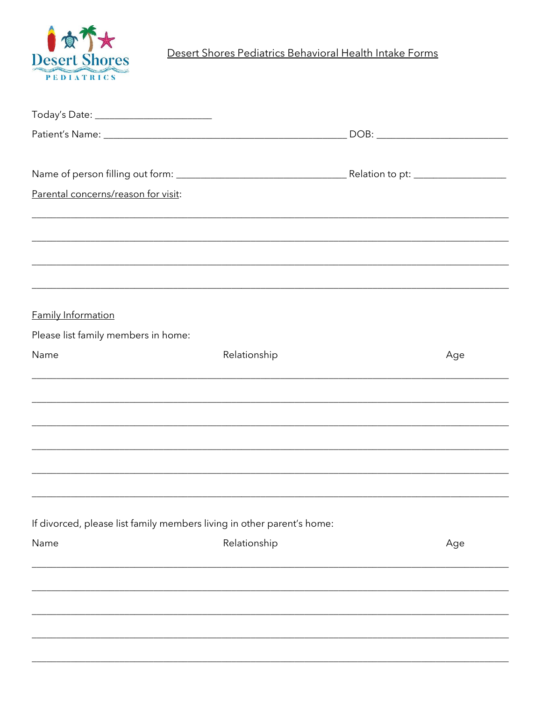

Desert Shores Pediatrics Behavioral Health Intake Forms

| Parental concerns/reason for visit:                                               |              |     |
|-----------------------------------------------------------------------------------|--------------|-----|
|                                                                                   |              |     |
| ,我们也不能在这里的人,我们也不能在这里的人,我们也不能不能不能不能不能不能不能不能不能不能不能不能不能不能。""我们的人,我们也不能不能不能不能不能不能不能不能 |              |     |
|                                                                                   |              |     |
| <u> 1989 - Jan Barnett, fransk politik (d. 1989)</u>                              |              |     |
|                                                                                   |              |     |
| <b>Family Information</b>                                                         |              |     |
| Please list family members in home:                                               |              |     |
| Name                                                                              | Relationship | Age |
| <u> 1989 - Johann Stoff, amerikansk politiker (d. 1989)</u>                       |              |     |
|                                                                                   |              |     |
|                                                                                   |              |     |
|                                                                                   |              |     |
|                                                                                   |              |     |
|                                                                                   |              |     |
|                                                                                   |              |     |
| If divorced, please list family members living in other parent's home:            |              |     |
| Name                                                                              | Relationship | Age |
|                                                                                   |              |     |
|                                                                                   |              |     |
|                                                                                   |              |     |
|                                                                                   |              |     |
|                                                                                   |              |     |
|                                                                                   |              |     |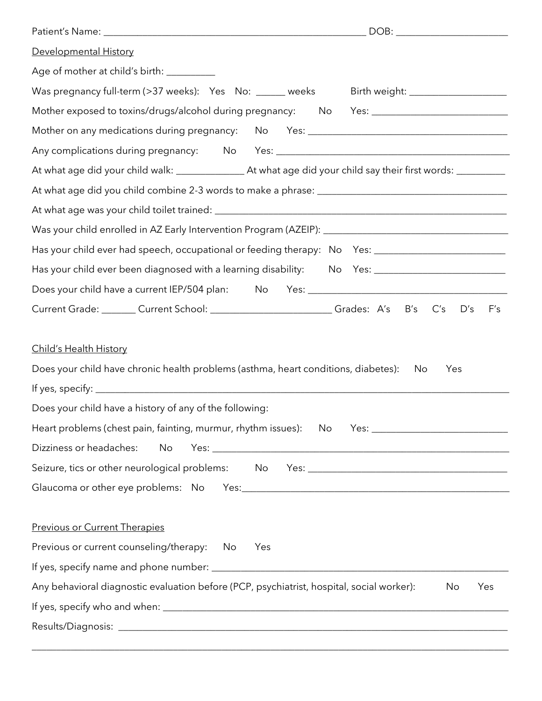| Developmental History                                                                                                             |
|-----------------------------------------------------------------------------------------------------------------------------------|
| Age of mother at child's birth: __________                                                                                        |
| Was pregnancy full-term (>37 weeks): Yes No: _____ weeks Birth weight: _________________                                          |
| Mother exposed to toxins/drugs/alcohol during pregnancy: No Yes: ___________________________________                              |
|                                                                                                                                   |
|                                                                                                                                   |
|                                                                                                                                   |
|                                                                                                                                   |
|                                                                                                                                   |
|                                                                                                                                   |
| Has your child ever had speech, occupational or feeding therapy: No Yes: __________________________                               |
| Has your child ever been diagnosed with a learning disability: No Yes: ____________________________                               |
|                                                                                                                                   |
| Current Grade: Current School: Current School: Current A's B's C's D's<br>F's                                                     |
| <b>Child's Health History</b><br>Does your child have chronic health problems (asthma, heart conditions, diabetes):<br>Yes<br>No. |
| Does your child have a history of any of the following:                                                                           |
| Heart problems (chest pain, fainting, murmur, rhythm issues): No                                                                  |
| Dizziness or headaches:<br>No                                                                                                     |
| Seizure, tics or other neurological problems: No Yes: ___________________________                                                 |
|                                                                                                                                   |
|                                                                                                                                   |
| <b>Previous or Current Therapies</b>                                                                                              |
| Previous or current counseling/therapy: No<br>Yes                                                                                 |
|                                                                                                                                   |
| Any behavioral diagnostic evaluation before (PCP, psychiatrist, hospital, social worker):<br>No<br>Yes                            |
|                                                                                                                                   |
|                                                                                                                                   |

\_\_\_\_\_\_\_\_\_\_\_\_\_\_\_\_\_\_\_\_\_\_\_\_\_\_\_\_\_\_\_\_\_\_\_\_\_\_\_\_\_\_\_\_\_\_\_\_\_\_\_\_\_\_\_\_\_\_\_\_\_\_\_\_\_\_\_\_\_\_\_\_\_\_\_\_\_\_\_\_\_\_\_\_\_\_\_\_\_\_\_\_\_\_\_\_\_\_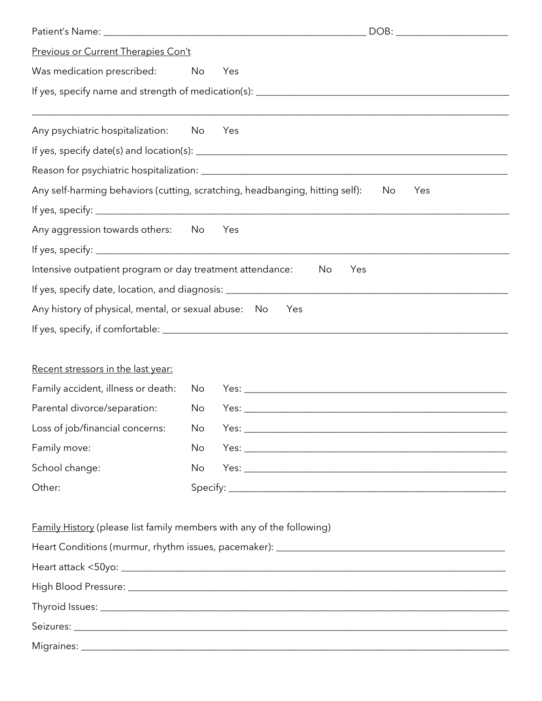| Previous or Current Therapies Con't                                          |    |                                                                                            |  |  |
|------------------------------------------------------------------------------|----|--------------------------------------------------------------------------------------------|--|--|
| Was medication prescribed: No                                                |    | Yes                                                                                        |  |  |
|                                                                              |    |                                                                                            |  |  |
|                                                                              |    |                                                                                            |  |  |
| Any psychiatric hospitalization: No                                          |    | Yes                                                                                        |  |  |
|                                                                              |    |                                                                                            |  |  |
|                                                                              |    |                                                                                            |  |  |
|                                                                              |    | Any self-harming behaviors (cutting, scratching, headbanging, hitting self):<br>No.<br>Yes |  |  |
|                                                                              |    |                                                                                            |  |  |
| Any aggression towards others: No                                            |    | Yes                                                                                        |  |  |
|                                                                              |    |                                                                                            |  |  |
| Intensive outpatient program or day treatment attendance:                    |    | No<br>Yes                                                                                  |  |  |
|                                                                              |    |                                                                                            |  |  |
| Any history of physical, mental, or sexual abuse: No                         |    | Yes                                                                                        |  |  |
|                                                                              |    |                                                                                            |  |  |
|                                                                              |    |                                                                                            |  |  |
| Recent stressors in the last year:                                           |    |                                                                                            |  |  |
| Family accident, illness or death: No                                        |    |                                                                                            |  |  |
| Parental divorce/separation:                                                 | No |                                                                                            |  |  |
| Loss of job/financial concerns:                                              | No |                                                                                            |  |  |
| Family move:                                                                 | No |                                                                                            |  |  |
| School change:                                                               | No |                                                                                            |  |  |
| Other:                                                                       |    |                                                                                            |  |  |
|                                                                              |    |                                                                                            |  |  |
| <b>Family History</b> (please list family members with any of the following) |    |                                                                                            |  |  |
|                                                                              |    |                                                                                            |  |  |
|                                                                              |    |                                                                                            |  |  |
|                                                                              |    |                                                                                            |  |  |
|                                                                              |    |                                                                                            |  |  |
|                                                                              |    |                                                                                            |  |  |
|                                                                              |    |                                                                                            |  |  |